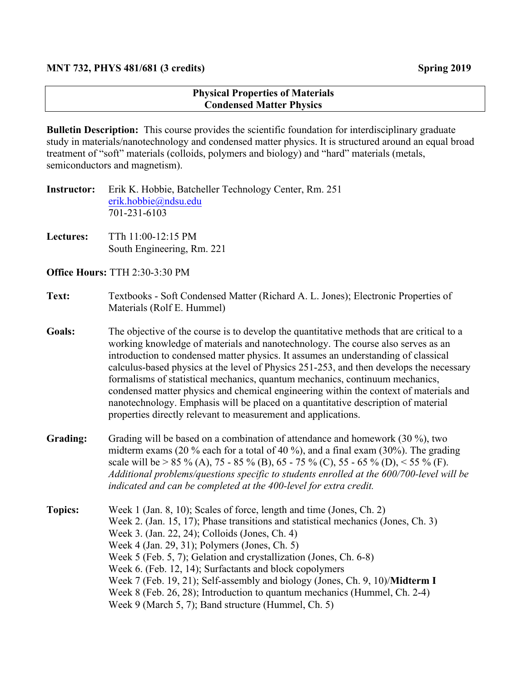## **Physical Properties of Materials Condensed Matter Physics**

**Bulletin Description:** This course provides the scientific foundation for interdisciplinary graduate study in materials/nanotechnology and condensed matter physics. It is structured around an equal broad treatment of "soft" materials (colloids, polymers and biology) and "hard" materials (metals, semiconductors and magnetism).

| Instructor: | Erik K. Hobbie, Batcheller Technology Center, Rm. 251 |
|-------------|-------------------------------------------------------|
|             | $erik.hobbie$ @ndsu.edu                               |
|             | 701-231-6103                                          |

**Lectures:** TTh 11:00-12:15 PM South Engineering, Rm. 221

**Office Hours:** TTH 2:30-3:30 PM

## **Text:** Textbooks - Soft Condensed Matter (Richard A. L. Jones); Electronic Properties of Materials (Rolf E. Hummel)

- **Goals:** The objective of the course is to develop the quantitative methods that are critical to a working knowledge of materials and nanotechnology. The course also serves as an introduction to condensed matter physics. It assumes an understanding of classical calculus-based physics at the level of Physics 251-253, and then develops the necessary formalisms of statistical mechanics, quantum mechanics, continuum mechanics, condensed matter physics and chemical engineering within the context of materials and nanotechnology. Emphasis will be placed on a quantitative description of material properties directly relevant to measurement and applications.
- **Grading:** Grading will be based on a combination of attendance and homework (30 %), two midterm exams (20 % each for a total of 40 %), and a final exam (30%). The grading scale will be > 85 % (A), 75 - 85 % (B), 65 - 75 % (C), 55 - 65 % (D), < 55 % (F). *Additional problems/questions specific to students enrolled at the 600/700-level will be indicated and can be completed at the 400-level for extra credit.*
- **Topics:** Week 1 (Jan. 8, 10); Scales of force, length and time (Jones, Ch. 2) Week 2. (Jan. 15, 17); Phase transitions and statistical mechanics (Jones, Ch. 3) Week 3. (Jan. 22, 24); Colloids (Jones, Ch. 4) Week 4 (Jan. 29, 31); Polymers (Jones, Ch. 5) Week 5 (Feb. 5, 7); Gelation and crystallization (Jones, Ch. 6-8) Week 6. (Feb. 12, 14); Surfactants and block copolymers Week 7 (Feb. 19, 21); Self-assembly and biology (Jones, Ch. 9, 10)/**Midterm I** Week 8 (Feb. 26, 28); Introduction to quantum mechanics (Hummel, Ch. 2-4) Week 9 (March 5, 7); Band structure (Hummel, Ch. 5)